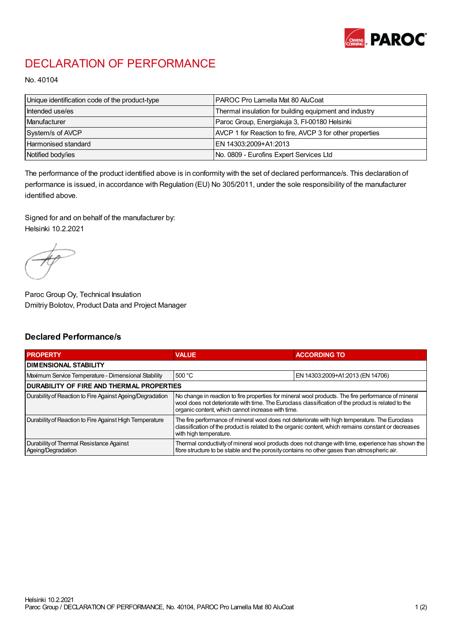

## DECLARATION OF PERFORMANCE

No. 40104

| Unique identification code of the product-type | I PAROC Pro Lamella Mat 80 AluCoat                       |
|------------------------------------------------|----------------------------------------------------------|
| Intended use/es                                | Thermal insulation for building equipment and industry   |
| Manufacturer                                   | Paroc Group, Energiakuja 3, FI-00180 Helsinki            |
| System/s of AVCP                               | AVCP 1 for Reaction to fire, AVCP 3 for other properties |
| Harmonised standard                            | IEN 14303:2009+A1:2013                                   |
| Notified body/ies                              | No. 0809 - Eurofins Expert Services Ltd                  |

The performance of the product identified above is in conformity with the set of declared performance/s. This declaration of performance is issued, in accordance with Regulation (EU) No 305/2011, under the sole responsibility of the manufacturer identified above.

Signed for and on behalf of the manufacturer by: Helsinki 10.2.2021

Paroc Group Oy, Technical Insulation Dmitriy Bolotov, Product Data and Project Manager

## Declared Performance/s

| <b>PROPERTY</b>                                                | <b>VALUE</b>                                                                                                                                                                                                                                                   | <b>ACCORDING TO</b>              |  |  |
|----------------------------------------------------------------|----------------------------------------------------------------------------------------------------------------------------------------------------------------------------------------------------------------------------------------------------------------|----------------------------------|--|--|
| <b>DIMENSIONAL STABILITY</b>                                   |                                                                                                                                                                                                                                                                |                                  |  |  |
| Maximum Service Temperature - Dimensional Stability            | 500 °C                                                                                                                                                                                                                                                         | EN 14303:2009+A1:2013 (EN 14706) |  |  |
| <b>DURABILITY OF FIRE AND THERMAL PROPERTIES</b>               |                                                                                                                                                                                                                                                                |                                  |  |  |
| Durability of Reaction to Fire Against Ageing/Degradation      | No change in reaction to fire properties for mineral wool products. The fire performance of mineral<br>wool does not deteriorate with time. The Euroclass classification of the product is related to the<br>organic content, which cannot increase with time. |                                  |  |  |
| Durability of Reaction to Fire Against High Temperature        | The fire performance of mineral wool does not deteriorate with high temperature. The Euroclass<br>classification of the product is related to the organic content, which remains constant or decreases<br>with high temperature.                               |                                  |  |  |
| Durability of Thermal Resistance Against<br>Ageing/Degradation | Thermal conductivity of mineral wool products does not change with time, experience has shown the<br>fibre structure to be stable and the porosity contains no other gases than atmospheric air.                                                               |                                  |  |  |